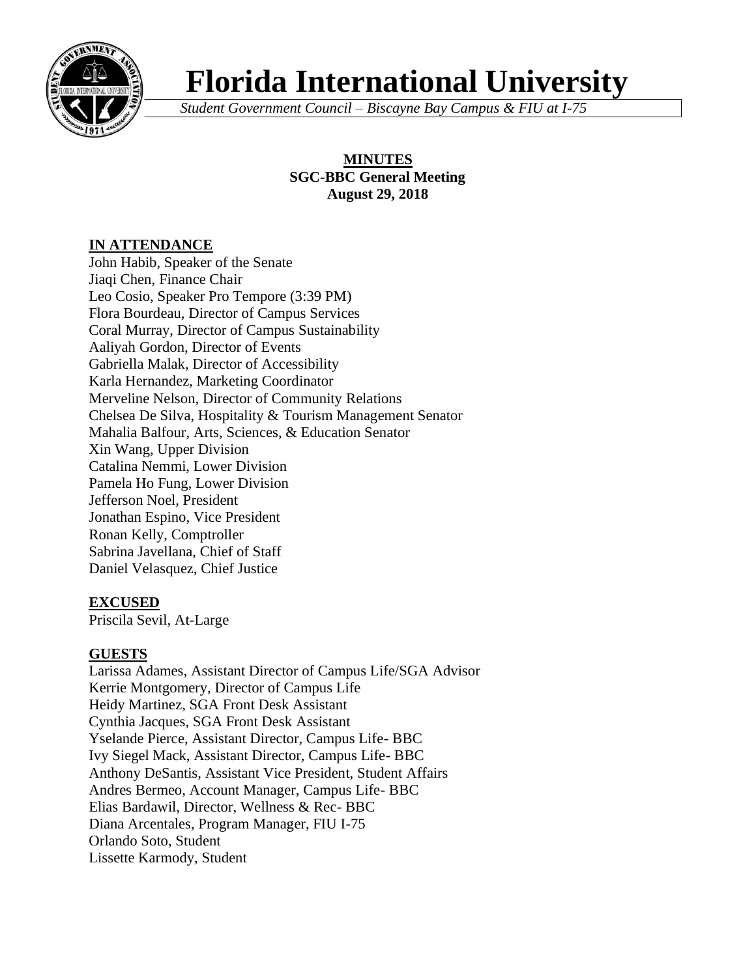

# **Florida International University**

*Student Government Council – Biscayne Bay Campus & FIU at I-75*

# **MINUTES SGC-BBC General Meeting August 29, 2018**

# **IN ATTENDANCE**

John Habib, Speaker of the Senate Jiaqi Chen, Finance Chair Leo Cosio, Speaker Pro Tempore (3:39 PM) Flora Bourdeau, Director of Campus Services Coral Murray, Director of Campus Sustainability Aaliyah Gordon, Director of Events Gabriella Malak, Director of Accessibility Karla Hernandez, Marketing Coordinator Merveline Nelson, Director of Community Relations Chelsea De Silva, Hospitality & Tourism Management Senator Mahalia Balfour, Arts, Sciences, & Education Senator Xin Wang, Upper Division Catalina Nemmi, Lower Division Pamela Ho Fung, Lower Division Jefferson Noel, President Jonathan Espino, Vice President Ronan Kelly, Comptroller Sabrina Javellana, Chief of Staff Daniel Velasquez, Chief Justice

# **EXCUSED**

Priscila Sevil, At-Large

# **GUESTS**

Larissa Adames, Assistant Director of Campus Life/SGA Advisor Kerrie Montgomery, Director of Campus Life Heidy Martinez, SGA Front Desk Assistant Cynthia Jacques, SGA Front Desk Assistant Yselande Pierce, Assistant Director, Campus Life- BBC Ivy Siegel Mack, Assistant Director, Campus Life- BBC Anthony DeSantis, Assistant Vice President, Student Affairs Andres Bermeo, Account Manager, Campus Life- BBC Elias Bardawil, Director, Wellness & Rec- BBC Diana Arcentales, Program Manager, FIU I-75 Orlando Soto, Student Lissette Karmody, Student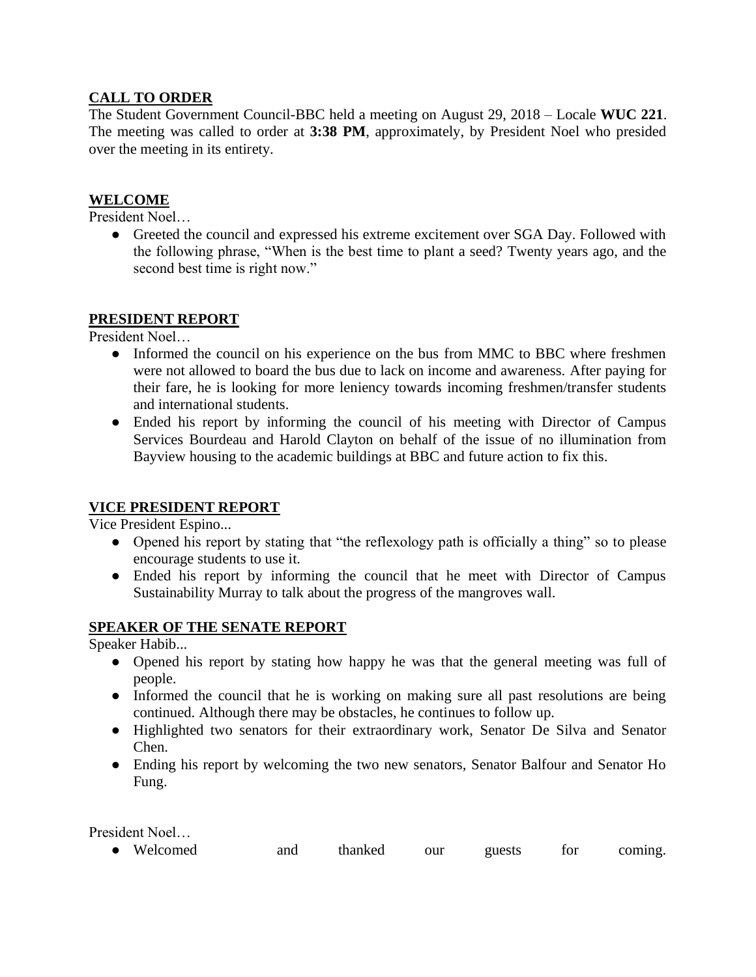# **CALL TO ORDER**

The Student Government Council-BBC held a meeting on August 29, 2018 – Locale **WUC 221**. The meeting was called to order at **3:38 PM**, approximately, by President Noel who presided over the meeting in its entirety.

## **WELCOME**

President Noel…

• Greeted the council and expressed his extreme excitement over SGA Day. Followed with the following phrase, "When is the best time to plant a seed? Twenty years ago, and the second best time is right now."

#### **PRESIDENT REPORT**

President Noel…

- Informed the council on his experience on the bus from MMC to BBC where freshmen were not allowed to board the bus due to lack on income and awareness. After paying for their fare, he is looking for more leniency towards incoming freshmen/transfer students and international students.
- Ended his report by informing the council of his meeting with Director of Campus Services Bourdeau and Harold Clayton on behalf of the issue of no illumination from Bayview housing to the academic buildings at BBC and future action to fix this.

## **VICE PRESIDENT REPORT**

Vice President Espino...

- Opened his report by stating that "the reflexology path is officially a thing" so to please encourage students to use it.
- Ended his report by informing the council that he meet with Director of Campus Sustainability Murray to talk about the progress of the mangroves wall.

#### **SPEAKER OF THE SENATE REPORT**

Speaker Habib...

- Opened his report by stating how happy he was that the general meeting was full of people.
- Informed the council that he is working on making sure all past resolutions are being continued. Although there may be obstacles, he continues to follow up.
- Highlighted two senators for their extraordinary work, Senator De Silva and Senator Chen.
- Ending his report by welcoming the two new senators, Senator Balfour and Senator Ho Fung.

President Noel…

|  | • Welcomed | and | thanked | our | guests | tor | coming. |
|--|------------|-----|---------|-----|--------|-----|---------|
|--|------------|-----|---------|-----|--------|-----|---------|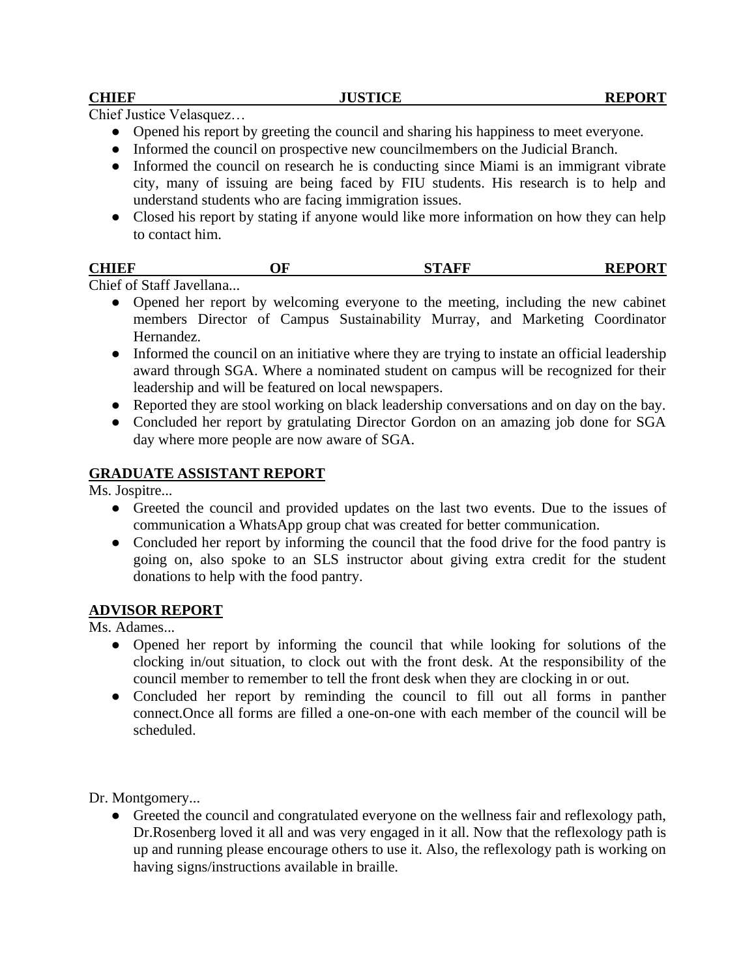Chief Justice Velasquez…

- Opened his report by greeting the council and sharing his happiness to meet everyone.
- Informed the council on prospective new councilmembers on the Judicial Branch.
- Informed the council on research he is conducting since Miami is an immigrant vibrate city, many of issuing are being faced by FIU students. His research is to help and understand students who are facing immigration issues.
- Closed his report by stating if anyone would like more information on how they can help to contact him.

| <b>CHIEF</b> | ЭF | . THE | <b>REPORT</b> |
|--------------|----|-------|---------------|
|              |    |       |               |

Chief of Staff Javellana...

- Opened her report by welcoming everyone to the meeting, including the new cabinet members Director of Campus Sustainability Murray, and Marketing Coordinator Hernandez.
- Informed the council on an initiative where they are trying to instate an official leadership award through SGA. Where a nominated student on campus will be recognized for their leadership and will be featured on local newspapers.
- Reported they are stool working on black leadership conversations and on day on the bay.
- Concluded her report by gratulating Director Gordon on an amazing job done for SGA day where more people are now aware of SGA.

#### **GRADUATE ASSISTANT REPORT**

Ms. Jospitre...

- Greeted the council and provided updates on the last two events. Due to the issues of communication a WhatsApp group chat was created for better communication.
- Concluded her report by informing the council that the food drive for the food pantry is going on, also spoke to an SLS instructor about giving extra credit for the student donations to help with the food pantry.

#### **ADVISOR REPORT**

Ms. Adames...

- Opened her report by informing the council that while looking for solutions of the clocking in/out situation, to clock out with the front desk. At the responsibility of the council member to remember to tell the front desk when they are clocking in or out.
- Concluded her report by reminding the council to fill out all forms in panther connect.Once all forms are filled a one-on-one with each member of the council will be scheduled.

Dr. Montgomery...

● Greeted the council and congratulated everyone on the wellness fair and reflexology path, Dr.Rosenberg loved it all and was very engaged in it all. Now that the reflexology path is up and running please encourage others to use it. Also, the reflexology path is working on having signs/instructions available in braille.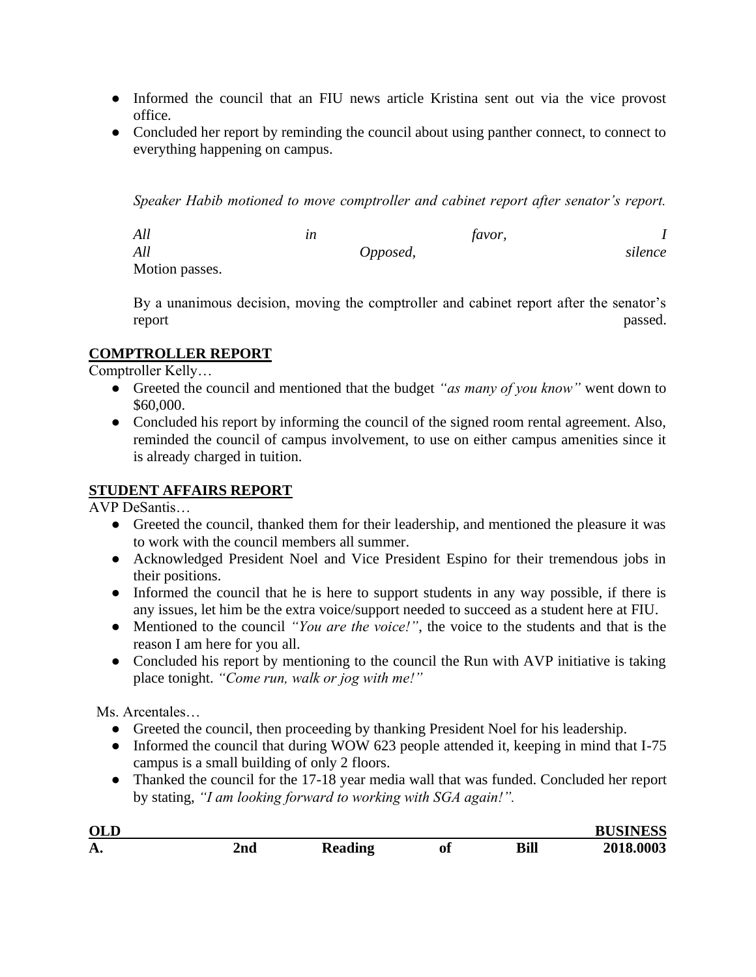- Informed the council that an FIU news article Kristina sent out via the vice provost office.
- Concluded her report by reminding the council about using panther connect, to connect to everything happening on campus.

*Speaker Habib motioned to move comptroller and cabinet report after senator's report.* 

*All in favor, I All Opposed, silence*  Motion passes.

By a unanimous decision, moving the comptroller and cabinet report after the senator's report passed.

# **COMPTROLLER REPORT**

Comptroller Kelly…

- Greeted the council and mentioned that the budget *"as many of you know"* went down to \$60,000.
- Concluded his report by informing the council of the signed room rental agreement. Also, reminded the council of campus involvement, to use on either campus amenities since it is already charged in tuition.

# **STUDENT AFFAIRS REPORT**

AVP DeSantis…

- Greeted the council, thanked them for their leadership, and mentioned the pleasure it was to work with the council members all summer.
- Acknowledged President Noel and Vice President Espino for their tremendous jobs in their positions.
- Informed the council that he is here to support students in any way possible, if there is any issues, let him be the extra voice/support needed to succeed as a student here at FIU.
- Mentioned to the council *"You are the voice!"*, the voice to the students and that is the reason I am here for you all.
- Concluded his report by mentioning to the council the Run with AVP initiative is taking place tonight. *"Come run, walk or jog with me!"*

Ms. Arcentales…

- Greeted the council, then proceeding by thanking President Noel for his leadership.
- Informed the council that during WOW 623 people attended it, keeping in mind that I-75 campus is a small building of only 2 floors.
- Thanked the council for the 17-18 year media wall that was funded. Concluded her report by stating, *"I am looking forward to working with SGA again!".*

| <b>OLD</b> |             |         |    |      | <b>BUSINESS</b> |
|------------|-------------|---------|----|------|-----------------|
| А.         | 2nd<br>---- | Reading | 01 | Bill | 2018.0003       |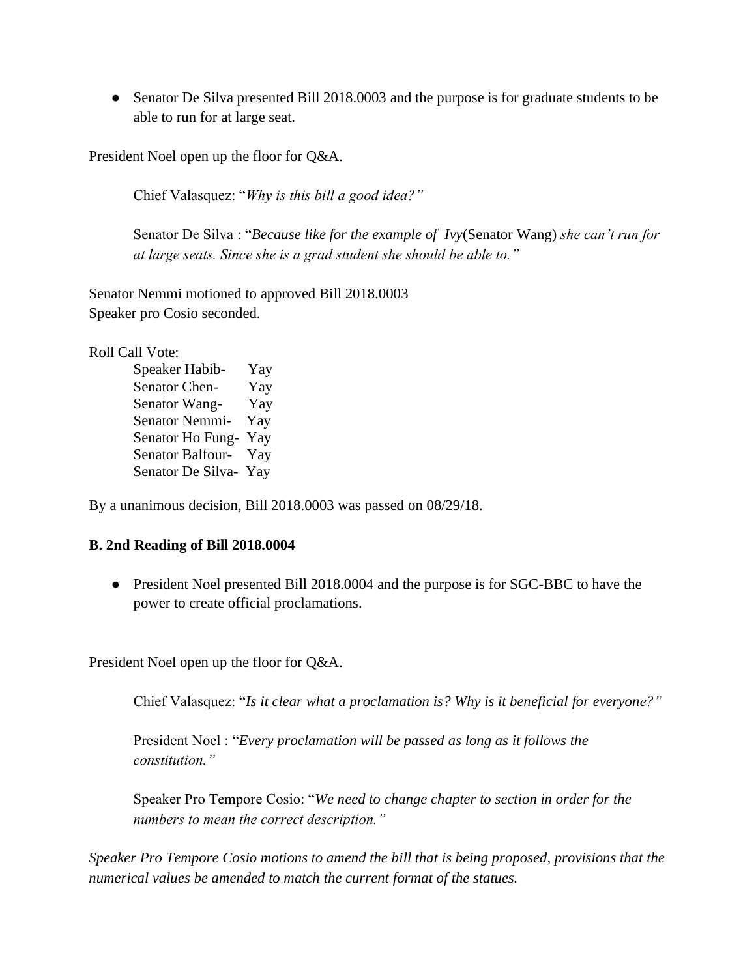• Senator De Silva presented Bill 2018.0003 and the purpose is for graduate students to be able to run for at large seat.

President Noel open up the floor for Q&A.

Chief Valasquez: "*Why is this bill a good idea?"*

Senator De Silva : "*Because like for the example of Ivy*(Senator Wang) *she can't run for at large seats. Since she is a grad student she should be able to."*

Senator Nemmi motioned to approved Bill 2018.0003 Speaker pro Cosio seconded.

Roll Call Vote:

Speaker Habib- Yay Senator Chen- Yay Senator Wang- Yay Senator Nemmi- Yay Senator Ho Fung- Yay Senator Balfour- Yay Senator De Silva- Yay

By a unanimous decision, Bill 2018.0003 was passed on 08/29/18.

#### **B. 2nd Reading of Bill 2018.0004**

● President Noel presented Bill 2018.0004 and the purpose is for SGC-BBC to have the power to create official proclamations.

President Noel open up the floor for Q&A.

Chief Valasquez: "*Is it clear what a proclamation is? Why is it beneficial for everyone?"*

President Noel : "*Every proclamation will be passed as long as it follows the constitution."*

Speaker Pro Tempore Cosio: "*We need to change chapter to section in order for the numbers to mean the correct description."*

*Speaker Pro Tempore Cosio motions to amend the bill that is being proposed, provisions that the numerical values be amended to match the current format of the statues.*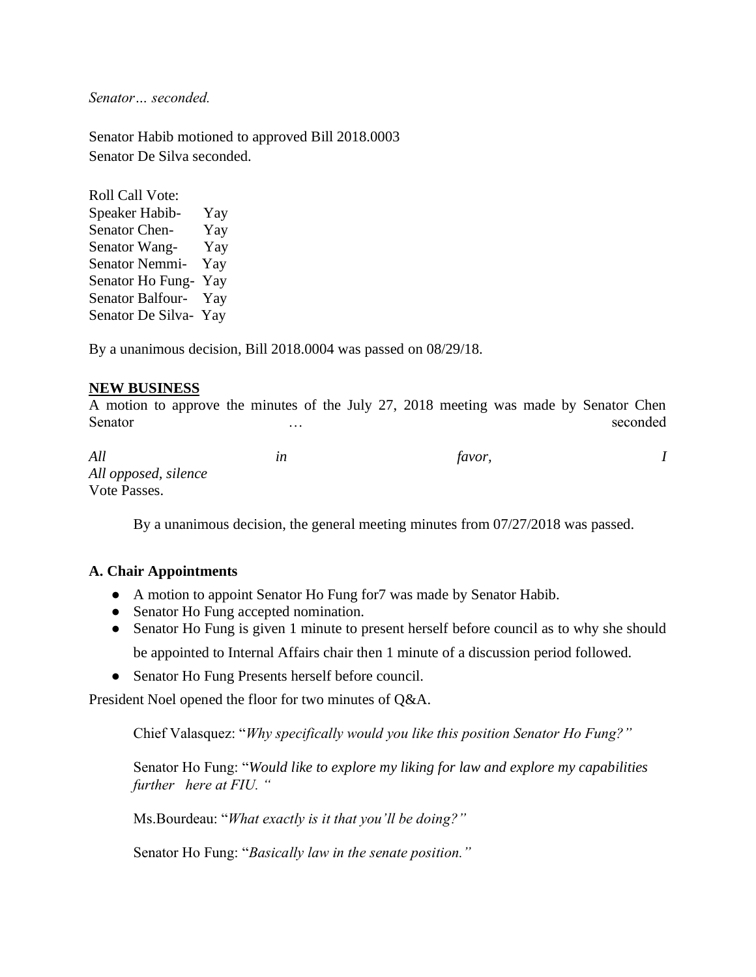*Senator… seconded.*

Senator Habib motioned to approved Bill 2018.0003 Senator De Silva seconded.

Roll Call Vote: Speaker Habib- Yay Senator Chen- Yay Senator Wang- Yay Senator Nemmi- Yay Senator Ho Fung- Yay Senator Balfour- Yay Senator De Silva- Yay

By a unanimous decision, Bill 2018.0004 was passed on 08/29/18.

#### **NEW BUSINESS**

A motion to approve the minutes of the July 27, 2018 meeting was made by Senator Chen Senator … seconded … seconded

*All in favor, I All opposed, silence* Vote Passes.

By a unanimous decision, the general meeting minutes from 07/27/2018 was passed.

#### **A. Chair Appointments**

- A motion to appoint Senator Ho Fung for7 was made by Senator Habib.
- Senator Ho Fung accepted nomination.
- Senator Ho Fung is given 1 minute to present herself before council as to why she should be appointed to Internal Affairs chair then 1 minute of a discussion period followed.
- Senator Ho Fung Presents herself before council.

President Noel opened the floor for two minutes of Q&A.

Chief Valasquez: "*Why specifically would you like this position Senator Ho Fung?"*

Senator Ho Fung: "*Would like to explore my liking for law and explore my capabilities further here at FIU. "* 

Ms.Bourdeau: "*What exactly is it that you'll be doing?"*

Senator Ho Fung: "*Basically law in the senate position."*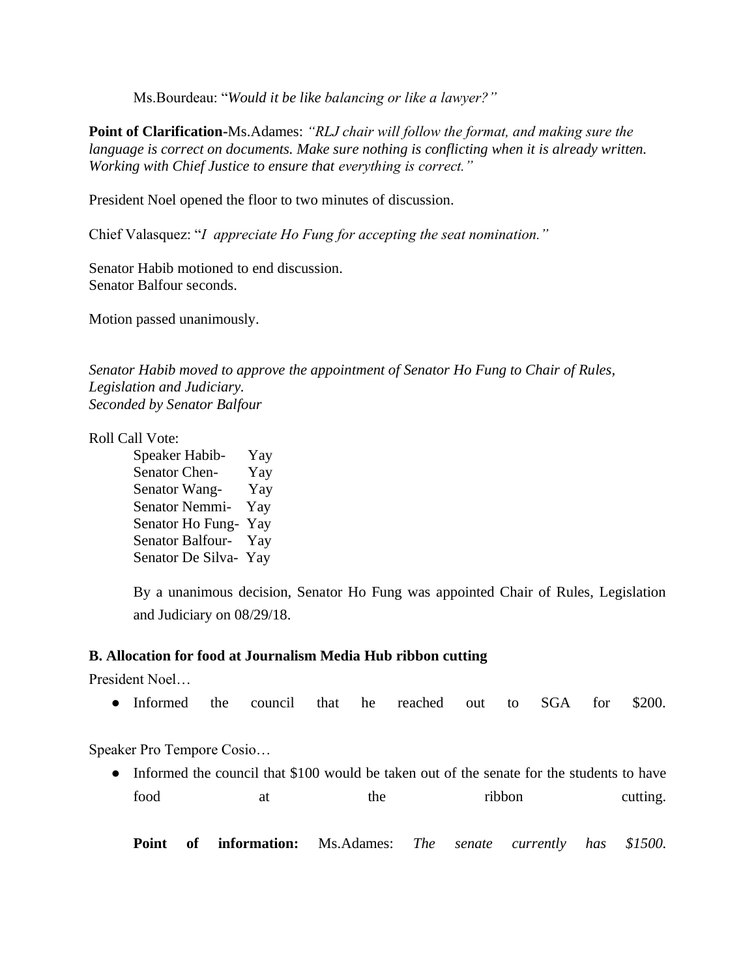Ms.Bourdeau: "*Would it be like balancing or like a lawyer?"*

**Point of Clarification-**Ms.Adames: *"RLJ chair will follow the format, and making sure the language is correct on documents. Make sure nothing is conflicting when it is already written. Working with Chief Justice to ensure that everything is correct."* 

President Noel opened the floor to two minutes of discussion.

Chief Valasquez: "*I appreciate Ho Fung for accepting the seat nomination."*

Senator Habib motioned to end discussion. Senator Balfour seconds.

Motion passed unanimously.

*Senator Habib moved to approve the appointment of Senator Ho Fung to Chair of Rules, Legislation and Judiciary. Seconded by Senator Balfour*

Roll Call Vote:

Speaker Habib- Yay Senator Chen- Yay Senator Wang- Yay Senator Nemmi- Yay Senator Ho Fung- Yay Senator Balfour- Yay Senator De Silva- Yay

By a unanimous decision, Senator Ho Fung was appointed Chair of Rules, Legislation and Judiciary on 08/29/18.

#### **B. Allocation for food at Journalism Media Hub ribbon cutting**

President Noel…

● Informed the council that he reached out to SGA for \$200.

Speaker Pro Tempore Cosio…

• Informed the council that \$100 would be taken out of the senate for the students to have food at the ribbon cutting.

**Point of information:** Ms.Adames: *The senate currently has \$1500.*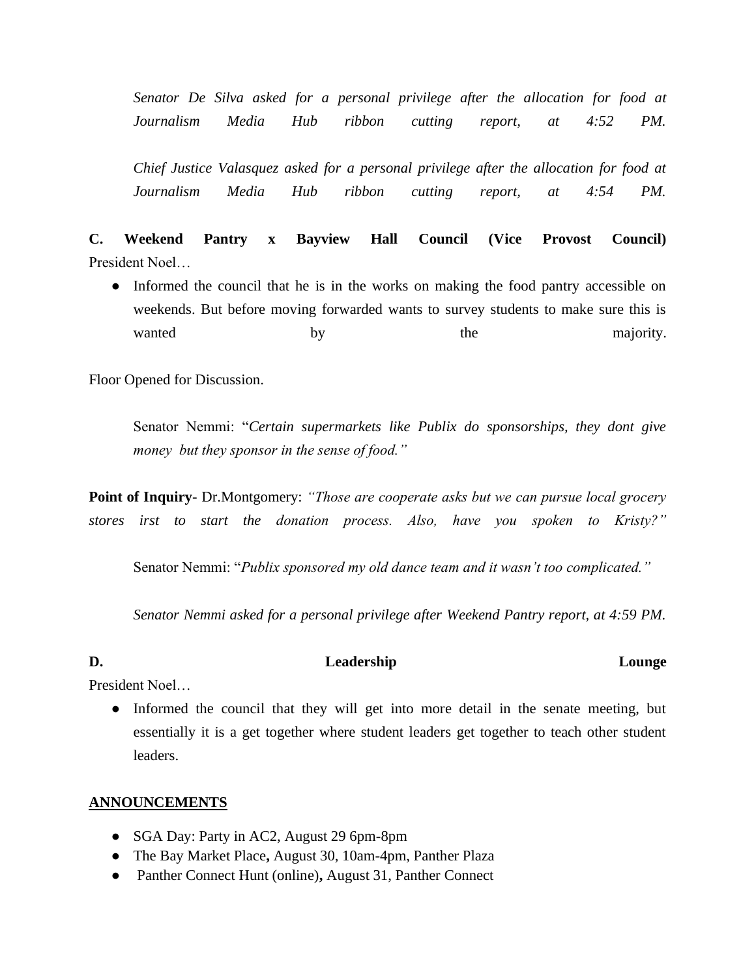*Senator De Silva asked for a personal privilege after the allocation for food at Journalism Media Hub ribbon cutting report, at 4:52 PM.*

*Chief Justice Valasquez asked for a personal privilege after the allocation for food at Journalism Media Hub ribbon cutting report, at 4:54 PM.*

**C. Weekend Pantry x Bayview Hall Council (Vice Provost Council)** President Noel…

• Informed the council that he is in the works on making the food pantry accessible on weekends. But before moving forwarded wants to survey students to make sure this is wanted by by the majority.

Floor Opened for Discussion.

Senator Nemmi: "*Certain supermarkets like Publix do sponsorships, they dont give money but they sponsor in the sense of food."*

**Point of Inquiry-** Dr.Montgomery: *"Those are cooperate asks but we can pursue local grocery stores irst to start the donation process. Also, have you spoken to Kristy?"* 

Senator Nemmi: "*Publix sponsored my old dance team and it wasn't too complicated."*

*Senator Nemmi asked for a personal privilege after Weekend Pantry report, at 4:59 PM.*

#### D. Leadership Leadership Lounge

President Noel…

• Informed the council that they will get into more detail in the senate meeting, but essentially it is a get together where student leaders get together to teach other student leaders.

## **ANNOUNCEMENTS**

- SGA Day: Party in AC2, August 29 6pm-8pm
- The Bay Market Place**,** August 30, 10am-4pm, Panther Plaza
- Panther Connect Hunt (online)**,** August 31, Panther Connect